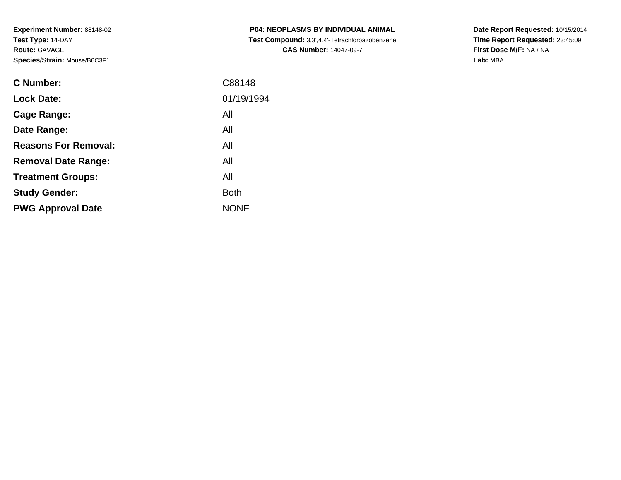| <b>C Number:</b>            | C88148      |
|-----------------------------|-------------|
| <b>Lock Date:</b>           | 01/19/1994  |
| Cage Range:                 | All         |
| Date Range:                 | All         |
| <b>Reasons For Removal:</b> | All         |
| <b>Removal Date Range:</b>  | All         |
| <b>Treatment Groups:</b>    | All         |
| <b>Study Gender:</b>        | <b>Both</b> |
| <b>PWG Approval Date</b>    | <b>NONE</b> |
|                             |             |

**P04: NEOPLASMS BY INDIVIDUAL ANIMAL Test Compound:** 3,3',4,4'-Tetrachloroazobenzene**CAS Number:** 14047-09-7

**Date Report Requested:** 10/15/2014 **Time Report Requested:** 23:45:09**First Dose M/F:** NA / NA**Lab:** MBA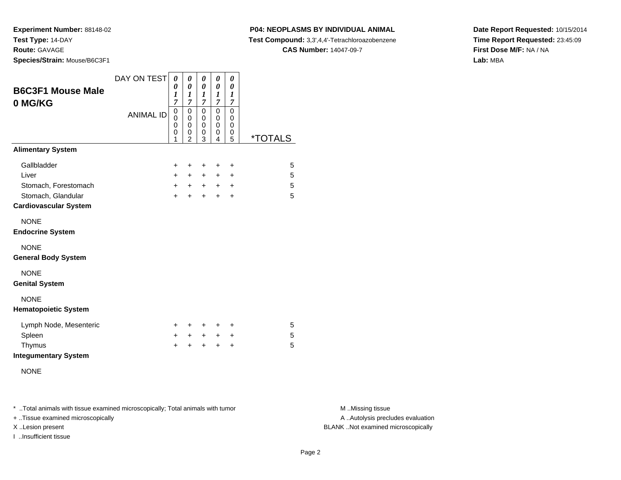**Experiment Number:** 88148-02**Test Type:** 14-DAY**Route:** GAVAGE

**Species/Strain:** Mouse/B6C3F1

### **P04: NEOPLASMS BY INDIVIDUAL ANIMAL**

**Test Compound:** 3,3',4,4'-Tetrachloroazobenzene

**CAS Number:** 14047-09-7

**Date Report Requested:** 10/15/2014**Time Report Requested:** 23:45:09**First Dose M/F:** NA / NA**Lab:** MBA

| <b>B6C3F1 Mouse Male</b><br>0 MG/KG                | DAY ON TEST      | 0<br>0<br>1<br>$\overline{7}$    | 0<br>0<br>$\boldsymbol{l}$<br>7                                  | 0<br>0<br>1<br>7                          | 0<br>0<br>1<br>$\overline{7}$   | 0<br>0<br>1<br>$\overline{7}$   |                       |
|----------------------------------------------------|------------------|----------------------------------|------------------------------------------------------------------|-------------------------------------------|---------------------------------|---------------------------------|-----------------------|
|                                                    | <b>ANIMAL ID</b> | 0<br>$\mathbf{0}$<br>0<br>0<br>1 | $\mathbf 0$<br>$\mathbf 0$<br>$\mathbf 0$<br>0<br>$\overline{2}$ | 0<br>$\mathbf 0$<br>$\mathbf 0$<br>0<br>3 | $\mathbf 0$<br>0<br>0<br>0<br>4 | $\mathbf 0$<br>0<br>0<br>0<br>5 | <i><b>*TOTALS</b></i> |
| <b>Alimentary System</b>                           |                  |                                  |                                                                  |                                           |                                 |                                 |                       |
| Gallbladder                                        |                  | $\ddot{}$                        | +                                                                | +                                         | +                               | $\ddot{}$                       | 5                     |
| Liver                                              |                  | $+$                              | $+$                                                              | $+$                                       | ÷.                              | $\ddot{}$                       | 5                     |
| Stomach, Forestomach                               |                  | $+$                              | $+$                                                              | $+$                                       | $+$                             | $\ddot{}$                       | 5                     |
| Stomach, Glandular<br><b>Cardiovascular System</b> |                  | $+$                              | $\ddot{}$                                                        | $\ddot{}$                                 | $\ddot{}$                       | $\ddot{}$                       | 5                     |
| <b>NONE</b><br><b>Endocrine System</b>             |                  |                                  |                                                                  |                                           |                                 |                                 |                       |
| <b>NONE</b><br><b>General Body System</b>          |                  |                                  |                                                                  |                                           |                                 |                                 |                       |
| <b>NONE</b><br><b>Genital System</b>               |                  |                                  |                                                                  |                                           |                                 |                                 |                       |
| <b>NONE</b><br><b>Hematopoietic System</b>         |                  |                                  |                                                                  |                                           |                                 |                                 |                       |
| Lymph Node, Mesenteric                             |                  | $\pm$                            | ÷                                                                | $\pm$                                     | ÷                               | ÷                               | 5                     |
| Spleen                                             |                  | $\ddot{}$                        | $\ddot{}$                                                        | $+$                                       | $\ddot{}$                       | +                               | 5                     |
| Thymus<br><b>Integumentary System</b>              |                  | $\ddot{}$                        | +                                                                | +                                         | $\ddot{}$                       | +                               | 5                     |
| <b>NONE</b>                                        |                  |                                  |                                                                  |                                           |                                 |                                 |                       |

\* ..Total animals with tissue examined microscopically; Total animals with tumor **M** . Missing tissue M ..Missing tissue

+ ..Tissue examined microscopically

I ..Insufficient tissue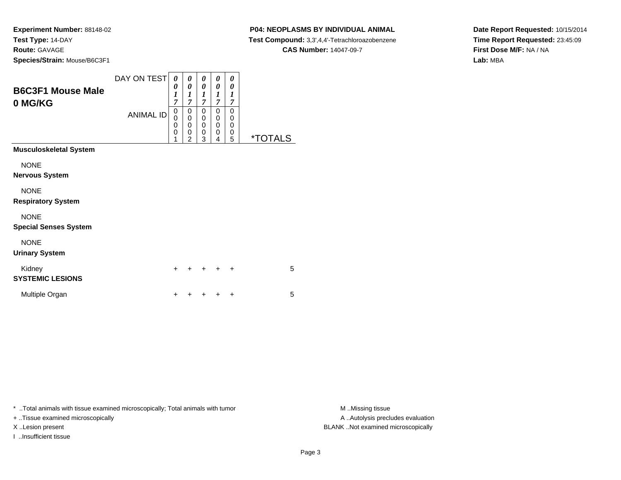### **P04: NEOPLASMS BY INDIVIDUAL ANIMAL**

**Test Compound:** 3,3',4,4'-Tetrachloroazobenzene

**CAS Number:** 14047-09-7

**Date Report Requested:** 10/15/2014**Time Report Requested:** 23:45:09**First Dose M/F:** NA / NA**Lab:** MBA

| <b>B6C3F1 Mouse Male</b><br>0 MG/KG         | DAY ON TEST<br><b>ANIMAL ID</b> | 0<br>0<br>1<br>$\overline{7}$<br>0<br>0<br>0<br>0<br>1 | 0<br>0<br>1<br>7<br>0<br>$\pmb{0}$<br>0<br>0<br>$\overline{2}$ | 0<br>0<br>$\boldsymbol{l}$<br>$\overline{7}$<br>0<br>0<br>0<br>0<br>3 | 0<br>0<br>$\boldsymbol{l}$<br>7<br>0<br>0<br>$\mathbf 0$<br>0<br>4 | 0<br>0<br>1<br>7<br>0<br>0<br>0<br>0<br>5 | <i><b>*TOTALS</b></i> |   |
|---------------------------------------------|---------------------------------|--------------------------------------------------------|----------------------------------------------------------------|-----------------------------------------------------------------------|--------------------------------------------------------------------|-------------------------------------------|-----------------------|---|
| <b>Musculoskeletal System</b>               |                                 |                                                        |                                                                |                                                                       |                                                                    |                                           |                       |   |
| <b>NONE</b><br>Nervous System               |                                 |                                                        |                                                                |                                                                       |                                                                    |                                           |                       |   |
| <b>NONE</b><br><b>Respiratory System</b>    |                                 |                                                        |                                                                |                                                                       |                                                                    |                                           |                       |   |
| <b>NONE</b><br><b>Special Senses System</b> |                                 |                                                        |                                                                |                                                                       |                                                                    |                                           |                       |   |
| <b>NONE</b><br><b>Urinary System</b>        |                                 |                                                        |                                                                |                                                                       |                                                                    |                                           |                       |   |
| Kidney<br><b>SYSTEMIC LESIONS</b>           |                                 | $\div$                                                 |                                                                | +                                                                     | +                                                                  | +                                         |                       | 5 |
| Multiple Organ                              |                                 | +                                                      |                                                                |                                                                       | +                                                                  | +                                         |                       | 5 |

\* ..Total animals with tissue examined microscopically; Total animals with tumor **M** . Missing tissue M ..Missing tissue

+ ..Tissue examined microscopically

I ..Insufficient tissue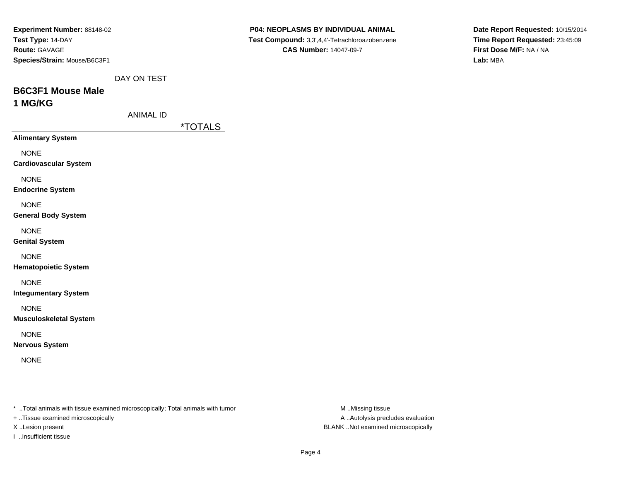| Experiment Number: 88148-02                                                    |                       | P04: NEOPLASMS BY INDIVIDUAL ANIMAL            | Date Report Requested: 10/15/2014 |
|--------------------------------------------------------------------------------|-----------------------|------------------------------------------------|-----------------------------------|
| Test Type: 14-DAY                                                              |                       | Test Compound: 3,3',4,4'-Tetrachloroazobenzene | Time Report Requested: 23:45:09   |
| Route: GAVAGE                                                                  |                       | <b>CAS Number: 14047-09-7</b>                  | First Dose M/F: NA / NA           |
| Species/Strain: Mouse/B6C3F1                                                   |                       |                                                | Lab: MBA                          |
| DAY ON TEST                                                                    |                       |                                                |                                   |
| <b>B6C3F1 Mouse Male</b>                                                       |                       |                                                |                                   |
| 1 MG/KG                                                                        |                       |                                                |                                   |
| <b>ANIMAL ID</b>                                                               |                       |                                                |                                   |
|                                                                                | <i><b>*TOTALS</b></i> |                                                |                                   |
| <b>Alimentary System</b>                                                       |                       |                                                |                                   |
| <b>NONE</b>                                                                    |                       |                                                |                                   |
| <b>Cardiovascular System</b>                                                   |                       |                                                |                                   |
| <b>NONE</b>                                                                    |                       |                                                |                                   |
| <b>Endocrine System</b>                                                        |                       |                                                |                                   |
| <b>NONE</b>                                                                    |                       |                                                |                                   |
| <b>General Body System</b>                                                     |                       |                                                |                                   |
| <b>NONE</b>                                                                    |                       |                                                |                                   |
| <b>Genital System</b>                                                          |                       |                                                |                                   |
| <b>NONE</b>                                                                    |                       |                                                |                                   |
| <b>Hematopoietic System</b>                                                    |                       |                                                |                                   |
| <b>NONE</b>                                                                    |                       |                                                |                                   |
| <b>Integumentary System</b>                                                    |                       |                                                |                                   |
| <b>NONE</b>                                                                    |                       |                                                |                                   |
| <b>Musculoskeletal System</b>                                                  |                       |                                                |                                   |
| <b>NONE</b>                                                                    |                       |                                                |                                   |
| <b>Nervous System</b>                                                          |                       |                                                |                                   |
|                                                                                |                       |                                                |                                   |
| <b>NONE</b>                                                                    |                       |                                                |                                   |
|                                                                                |                       |                                                |                                   |
|                                                                                |                       |                                                |                                   |
| * Total animals with tissue examined microscopically; Total animals with tumor |                       | M Missing tissue                               |                                   |
| + Tissue examined microscopically                                              |                       | A  Autolysis precludes evaluation              |                                   |

- X ..Lesion present BLANK ..Not examined microscopically
- I ..Insufficient tissue

Page 4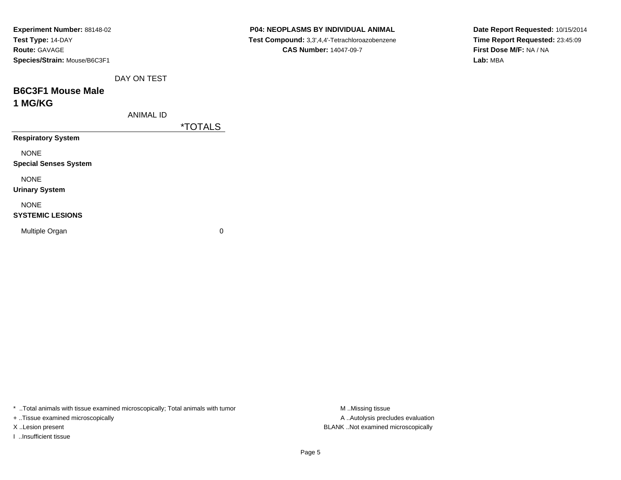| <i><b>*TOTALS</b></i> | Test Compound: 3,3',4,4'-Tetrachloroazobenzene<br><b>CAS Number: 14047-09-7</b> |
|-----------------------|---------------------------------------------------------------------------------|
|                       |                                                                                 |
|                       |                                                                                 |
|                       |                                                                                 |
|                       |                                                                                 |
|                       |                                                                                 |
|                       |                                                                                 |
|                       |                                                                                 |
|                       |                                                                                 |
|                       |                                                                                 |
|                       |                                                                                 |
|                       |                                                                                 |
|                       |                                                                                 |
|                       |                                                                                 |
|                       |                                                                                 |
|                       |                                                                                 |
| 0                     |                                                                                 |
|                       |                                                                                 |

**Date Report Requested:** 10/15/2014**Time Report Requested:** 23:45:09**First Dose M/F:** NA / NA**Lab:** MBA

\* ..Total animals with tissue examined microscopically; Total animals with tumor M..Missing tissue

+ ..Tissue examined microscopically

I ..Insufficient tissue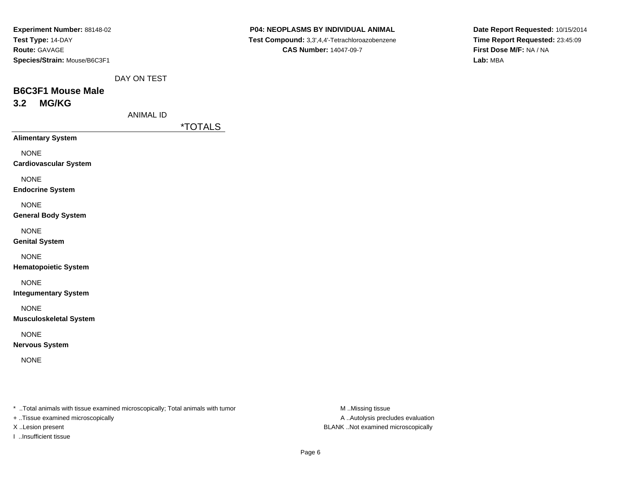| Experiment Number: 88148-02  |
|------------------------------|
| Test Type: 14-DAY            |
| <b>Route: GAVAGE</b>         |
| Species/Strain: Mouse/B6C3F1 |

**Date Report Requested:** 10/15/2014**Time Report Requested:** 23:45:09**First Dose M/F:** NA / NA**Lab:** MBA

DAY ON TEST

# **B6C3F1 Mouse Male3.2 MG/KG**

ANIMAL ID

\*TOTALS

**Alimentary System**

NONE

**Cardiovascular System**

NONE

**Endocrine System**

NONE

**General Body System**

NONE

**Genital System**

NONE

**Hematopoietic System**

NONE

**Integumentary System**

NONE

**Musculoskeletal System**

NONE

**Nervous System**

NONE

\* ..Total animals with tissue examined microscopically; Total animals with tumor **M** ..Missing tissue M ..Missing tissue

+ ..Tissue examined microscopically

I ..Insufficient tissue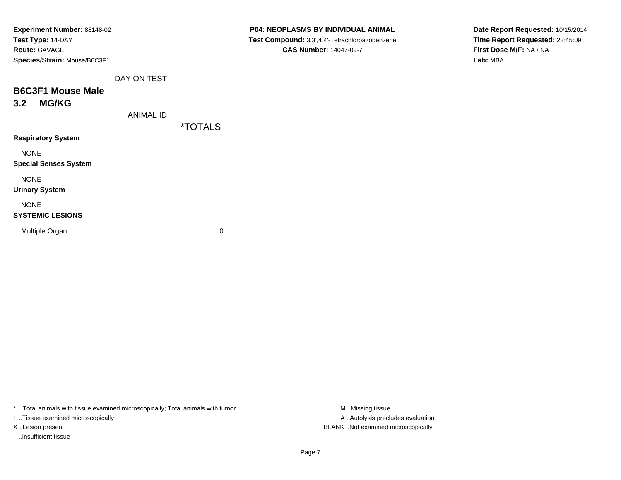| <b>Experiment Number: 88148-02</b> |
|------------------------------------|
| Test Type: 14-DAY                  |
| <b>Route: GAVAGE</b>               |
| Species/Strain: Mouse/B6C3F1       |

**Date Report Requested:** 10/15/2014**Time Report Requested:** 23:45:09**First Dose M/F:** NA / NA**Lab:** MBA

DAY ON TEST

# **B6C3F1 Mouse Male3.2 MG/KG**

ANIMAL ID

\*TOTALS

**Respiratory System**

NONE

**Special Senses System**

NONE

**Urinary System**

#### NONE

#### **SYSTEMIC LESIONS**

Multiple Organ

 $\mathbf n$  0

\* ..Total animals with tissue examined microscopically; Total animals with tumor **M** ...Missing tissue M ...Missing tissue

+ ..Tissue examined microscopically

I ..Insufficient tissue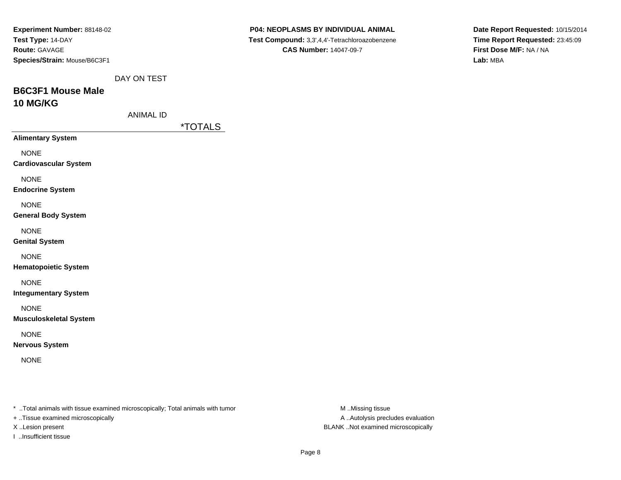| Experiment Number: 88148-02<br>Test Type: 14-DAY<br>Route: GAVAGE<br>Species/Strain: Mouse/B6C3F1 |                  |                       | P04: NEOPLASMS BY INDIVIDUAL ANIMAL<br>Test Compound: 3,3',4,4'-Tetrachloroazobenzene<br><b>CAS Number: 14047-09-7</b> |                  |               | Date Report Requested: 10/15/2014<br>Time Report Requested: 23:45:09<br>First Dose M/F: NA / NA<br>Lab: MBA |
|---------------------------------------------------------------------------------------------------|------------------|-----------------------|------------------------------------------------------------------------------------------------------------------------|------------------|---------------|-------------------------------------------------------------------------------------------------------------|
|                                                                                                   | DAY ON TEST      |                       |                                                                                                                        |                  |               |                                                                                                             |
| <b>B6C3F1 Mouse Male</b><br>10 MG/KG                                                              |                  |                       |                                                                                                                        |                  |               |                                                                                                             |
|                                                                                                   | <b>ANIMAL ID</b> | <i><b>*TOTALS</b></i> |                                                                                                                        |                  |               |                                                                                                             |
| <b>Alimentary System</b>                                                                          |                  |                       |                                                                                                                        |                  |               |                                                                                                             |
| <b>NONE</b><br><b>Cardiovascular System</b>                                                       |                  |                       |                                                                                                                        |                  |               |                                                                                                             |
| <b>NONE</b><br><b>Endocrine System</b>                                                            |                  |                       |                                                                                                                        |                  |               |                                                                                                             |
| <b>NONE</b><br><b>General Body System</b>                                                         |                  |                       |                                                                                                                        |                  |               |                                                                                                             |
| <b>NONE</b><br><b>Genital System</b>                                                              |                  |                       |                                                                                                                        |                  |               |                                                                                                             |
| <b>NONE</b><br><b>Hematopoietic System</b>                                                        |                  |                       |                                                                                                                        |                  |               |                                                                                                             |
| <b>NONE</b><br><b>Integumentary System</b>                                                        |                  |                       |                                                                                                                        |                  |               |                                                                                                             |
| <b>NONE</b><br><b>Musculoskeletal System</b>                                                      |                  |                       |                                                                                                                        |                  |               |                                                                                                             |
| <b>NONE</b><br><b>Nervous System</b>                                                              |                  |                       |                                                                                                                        |                  |               |                                                                                                             |
| <b>NONE</b>                                                                                       |                  |                       |                                                                                                                        |                  |               |                                                                                                             |
|                                                                                                   |                  |                       |                                                                                                                        |                  |               |                                                                                                             |
| * Total animals with tissue examined microscopically; Total animals with tumor                    |                  |                       |                                                                                                                        | M Missing tissue | $\sim$ $\sim$ |                                                                                                             |

- + ..Tissue examined microscopically
- 
- I ..Insufficient tissue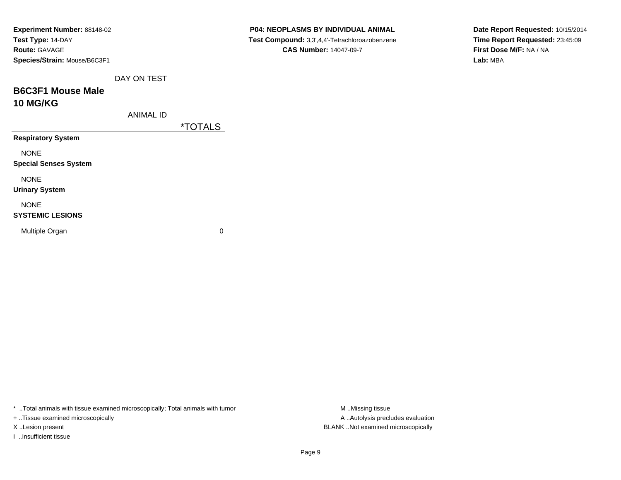| Experiment Number: 88148-02  |                       | P04: NEOPLASMS BY INDIVIDUAL ANIMAL            | Date Report Requested: 10/15/2014 |
|------------------------------|-----------------------|------------------------------------------------|-----------------------------------|
| Test Type: 14-DAY            |                       | Test Compound: 3,3',4,4'-Tetrachloroazobenzene | Time Report Requested: 23:45:09   |
| Route: GAVAGE                |                       | <b>CAS Number: 14047-09-7</b>                  | First Dose M/F: NA / NA           |
| Species/Strain: Mouse/B6C3F1 |                       |                                                | Lab: MBA                          |
| DAY ON TEST                  |                       |                                                |                                   |
| <b>B6C3F1 Mouse Male</b>     |                       |                                                |                                   |
| <b>10 MG/KG</b>              |                       |                                                |                                   |
| <b>ANIMAL ID</b>             |                       |                                                |                                   |
|                              | <i><b>*TOTALS</b></i> |                                                |                                   |
| <b>Respiratory System</b>    |                       |                                                |                                   |
| <b>NONE</b>                  |                       |                                                |                                   |
| <b>Special Senses System</b> |                       |                                                |                                   |
| <b>NONE</b>                  |                       |                                                |                                   |
| <b>Urinary System</b>        |                       |                                                |                                   |
| <b>NONE</b>                  |                       |                                                |                                   |
| <b>SYSTEMIC LESIONS</b>      |                       |                                                |                                   |
| Multiple Organ               | $\pmb{0}$             |                                                |                                   |
|                              |                       |                                                |                                   |

\* ..Total animals with tissue examined microscopically; Total animals with tumor M..Missing tissue M ..Missing tissue

+ ..Tissue examined microscopically

I ..Insufficient tissue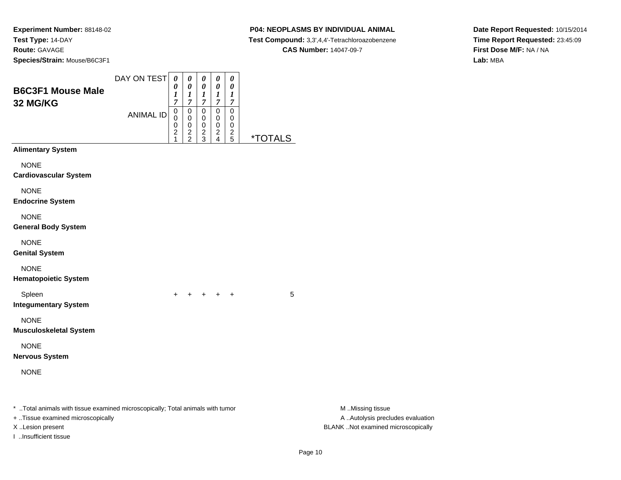### **P04: NEOPLASMS BY INDIVIDUAL ANIMAL**

**Test Compound:** 3,3',4,4'-Tetrachloroazobenzene

**Date Report Requested:** 10/15/2014**Time Report Requested:** 23:45:09**First Dose M/F:** NA / NA**Lab:** MBA

#### **CAS Number:** 14047-09-7

|                                                                                                                      | DAY ON TEST      | $\pmb{\theta}$                                    | $\boldsymbol{\theta}$                            | $\boldsymbol{\theta}$                                      | $\boldsymbol{\theta}$                     | $\boldsymbol{\theta}$                  |                       |                                                       |
|----------------------------------------------------------------------------------------------------------------------|------------------|---------------------------------------------------|--------------------------------------------------|------------------------------------------------------------|-------------------------------------------|----------------------------------------|-----------------------|-------------------------------------------------------|
| <b>B6C3F1 Mouse Male</b><br>32 MG/KG                                                                                 |                  | 0<br>$\boldsymbol{l}$<br>7                        | 0<br>$\boldsymbol{l}$<br>$\overline{7}$          | 0<br>$\boldsymbol{l}$<br>$\overline{7}$                    | 0<br>$\boldsymbol{l}$<br>$\boldsymbol{7}$ | 0<br>1<br>$\overline{7}$               |                       |                                                       |
|                                                                                                                      | <b>ANIMAL ID</b> | $\,0\,$<br>0<br>0<br>$\overline{\mathbf{c}}$<br>1 | $\mathbf 0$<br>0<br>$\mathbf 0$<br>$\frac{2}{2}$ | $\mathbf 0$<br>$\mathbf 0$<br>$\mathbf 0$<br>$\frac{2}{3}$ | $\,0\,$<br>0<br>0<br>$\frac{2}{4}$        | $\mathbf 0$<br>0<br>0<br>$\frac{2}{5}$ | <i><b>*TOTALS</b></i> |                                                       |
| <b>Alimentary System</b>                                                                                             |                  |                                                   |                                                  |                                                            |                                           |                                        |                       |                                                       |
| <b>NONE</b><br><b>Cardiovascular System</b>                                                                          |                  |                                                   |                                                  |                                                            |                                           |                                        |                       |                                                       |
| <b>NONE</b><br><b>Endocrine System</b>                                                                               |                  |                                                   |                                                  |                                                            |                                           |                                        |                       |                                                       |
| <b>NONE</b><br><b>General Body System</b>                                                                            |                  |                                                   |                                                  |                                                            |                                           |                                        |                       |                                                       |
| <b>NONE</b><br><b>Genital System</b>                                                                                 |                  |                                                   |                                                  |                                                            |                                           |                                        |                       |                                                       |
| <b>NONE</b><br><b>Hematopoietic System</b>                                                                           |                  |                                                   |                                                  |                                                            |                                           |                                        |                       |                                                       |
| Spleen<br><b>Integumentary System</b>                                                                                |                  | $+$                                               |                                                  |                                                            | + + + +                                   |                                        | 5                     |                                                       |
| <b>NONE</b><br><b>Musculoskeletal System</b>                                                                         |                  |                                                   |                                                  |                                                            |                                           |                                        |                       |                                                       |
| <b>NONE</b><br><b>Nervous System</b>                                                                                 |                  |                                                   |                                                  |                                                            |                                           |                                        |                       |                                                       |
| <b>NONE</b>                                                                                                          |                  |                                                   |                                                  |                                                            |                                           |                                        |                       |                                                       |
| *  Total animals with tissue examined microscopically; Total animals with tumor<br>+ Tissue examined microscopically |                  |                                                   |                                                  |                                                            |                                           |                                        |                       | M Missing tissue<br>A  Autolysis precludes evaluation |
| X Lesion present                                                                                                     |                  |                                                   |                                                  |                                                            |                                           |                                        |                       | BLANK Not examined microscopically                    |

I ..Insufficient tissue

M ..Missing tissue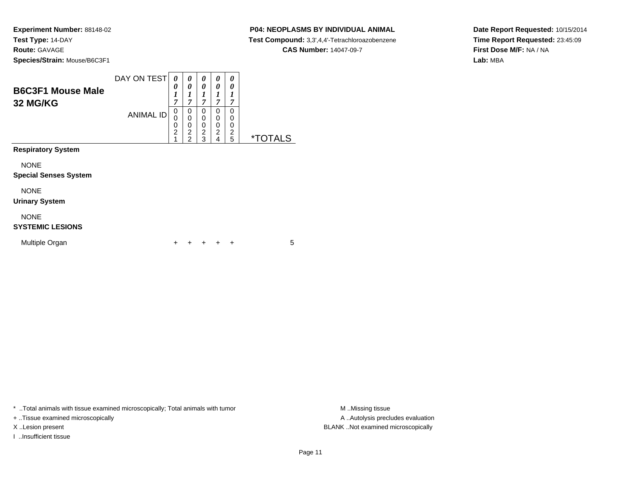$\overline{\phantom{0}}$ 

### **P04: NEOPLASMS BY INDIVIDUAL ANIMAL**

**Test Compound:** 3,3',4,4'-Tetrachloroazobenzene

**CAS Number:** 14047-09-7

**Date Report Requested:** 10/15/2014**Time Report Requested:** 23:45:09**First Dose M/F:** NA / NA**Lab:** MBA

| <b>B6C3F1 Mouse Male</b><br>32 MG/KG        | DAY ON TEST<br><b>ANIMAL ID</b> | 0<br>0<br>1<br>7<br>0<br>0<br>0<br>$\overline{2}$<br>4 | 0<br>0<br>$\boldsymbol{l}$<br>7<br>0<br>0<br>0<br>$\overline{c}$<br>$\mathfrak{p}$ | 0<br>0<br>1<br>$\overline{7}$<br>0<br>0<br>0<br>$\overline{\mathbf{c}}$<br>3 | 0<br>0<br>1<br>$\overline{7}$<br>0<br>0<br>0<br>$\overline{c}$<br>4 | 0<br>0<br>1<br>7<br>0<br>0<br>0<br>$\frac{2}{5}$ | <i><b>*TOTALS</b></i> |
|---------------------------------------------|---------------------------------|--------------------------------------------------------|------------------------------------------------------------------------------------|------------------------------------------------------------------------------|---------------------------------------------------------------------|--------------------------------------------------|-----------------------|
| <b>Respiratory System</b>                   |                                 |                                                        |                                                                                    |                                                                              |                                                                     |                                                  |                       |
| <b>NONE</b><br><b>Special Senses System</b> |                                 |                                                        |                                                                                    |                                                                              |                                                                     |                                                  |                       |
| <b>NONE</b><br><b>Urinary System</b>        |                                 |                                                        |                                                                                    |                                                                              |                                                                     |                                                  |                       |
| <b>NONE</b><br><b>SYSTEMIC LESIONS</b>      |                                 |                                                        |                                                                                    |                                                                              |                                                                     |                                                  |                       |
| Multiple Organ                              |                                 |                                                        |                                                                                    |                                                                              |                                                                     | ÷                                                | 5                     |

\* ..Total animals with tissue examined microscopically; Total animals with tumor **M** . Missing tissue M ..Missing tissue

+ ..Tissue examined microscopically

I ..Insufficient tissue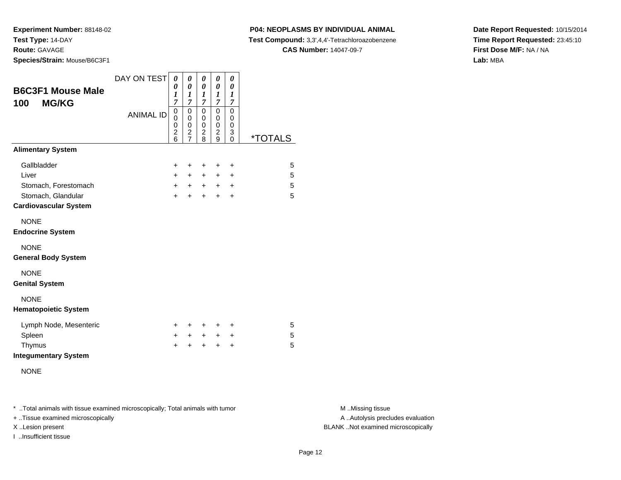**P04: NEOPLASMS BY INDIVIDUAL ANIMAL**

**Test Compound:** 3,3',4,4'-Tetrachloroazobenzene

**CAS Number:** 14047-09-7

**Date Report Requested:** 10/15/2014**Time Report Requested:** 23:45:10**First Dose M/F:** NA / NA**Lab:** MBA

| <b>B6C3F1 Mouse Male</b><br><b>MG/KG</b><br>100    | DAY ON TEST<br><b>ANIMAL ID</b> | 0<br>0<br>1<br>7<br>$\mathbf 0$<br>0<br>0<br>$\overline{\mathbf{c}}$<br>$\overline{6}$ | 0<br>$\theta$<br>$\boldsymbol{l}$<br>7<br>$\mathbf 0$<br>0<br>$\mathbf 0$<br>$\frac{2}{7}$ | 0<br>0<br>1<br>$\overline{7}$<br>$\mathbf 0$<br>0<br>0<br>$\overline{c}$<br>8 | 0<br>0<br>$\boldsymbol{l}$<br>$\overline{7}$<br>0<br>0<br>0<br>$\frac{2}{9}$ | 0<br>0<br>1<br>$\overline{7}$<br>0<br>0<br>0<br>3<br>$\Omega$ | <i><b>*TOTALS</b></i> |
|----------------------------------------------------|---------------------------------|----------------------------------------------------------------------------------------|--------------------------------------------------------------------------------------------|-------------------------------------------------------------------------------|------------------------------------------------------------------------------|---------------------------------------------------------------|-----------------------|
| <b>Alimentary System</b>                           |                                 |                                                                                        |                                                                                            |                                                                               |                                                                              |                                                               |                       |
| Gallbladder                                        |                                 | $\ddot{}$                                                                              | +                                                                                          | $\ddot{}$                                                                     | $\ddot{}$                                                                    | +                                                             | 5                     |
| Liver                                              |                                 | $+$                                                                                    | $+$                                                                                        | $+$                                                                           | $\pm$                                                                        | $\ddot{}$                                                     | 5                     |
| Stomach, Forestomach                               |                                 | $+$                                                                                    | $+$                                                                                        | $+$                                                                           | $+$                                                                          | $\ddot{}$                                                     | 5                     |
| Stomach, Glandular<br><b>Cardiovascular System</b> |                                 | $+$                                                                                    | $\ddot{}$                                                                                  | $\ddot{}$                                                                     | $\ddot{}$                                                                    | $\ddot{}$                                                     | 5                     |
| <b>NONE</b><br><b>Endocrine System</b>             |                                 |                                                                                        |                                                                                            |                                                                               |                                                                              |                                                               |                       |
| <b>NONE</b><br><b>General Body System</b>          |                                 |                                                                                        |                                                                                            |                                                                               |                                                                              |                                                               |                       |
| <b>NONE</b><br><b>Genital System</b>               |                                 |                                                                                        |                                                                                            |                                                                               |                                                                              |                                                               |                       |
| <b>NONE</b><br><b>Hematopoietic System</b>         |                                 |                                                                                        |                                                                                            |                                                                               |                                                                              |                                                               |                       |
| Lymph Node, Mesenteric                             |                                 | ÷.                                                                                     | ÷                                                                                          | +                                                                             | ÷                                                                            | ÷                                                             | 5                     |
| Spleen                                             |                                 | $+$                                                                                    | $+$                                                                                        | $+$                                                                           | $+$                                                                          | $\ddot{}$                                                     | 5                     |
| Thymus<br><b>Integumentary System</b>              |                                 | $\ddot{}$                                                                              | $\ddot{}$                                                                                  | $\ddot{}$                                                                     | $\ddot{}$                                                                    | $\ddot{}$                                                     | 5                     |
| <b>NONE</b>                                        |                                 |                                                                                        |                                                                                            |                                                                               |                                                                              |                                                               |                       |

\* ..Total animals with tissue examined microscopically; Total animals with tumor **M** . Missing tissue M ..Missing tissue

+ ..Tissue examined microscopically

I ..Insufficient tissue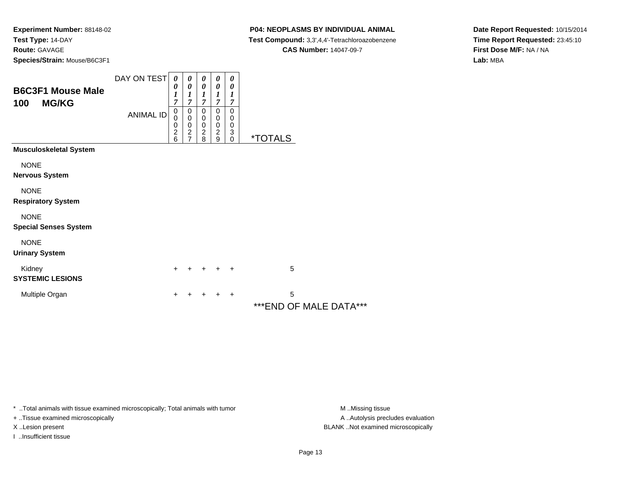### **P04: NEOPLASMS BY INDIVIDUAL ANIMAL**

**Test Compound:** 3,3',4,4'-Tetrachloroazobenzene

**CAS Number:** 14047-09-7

**Date Report Requested:** 10/15/2014**Time Report Requested:** 23:45:10**First Dose M/F:** NA / NA**Lab:** MBA

| <b>B6C3F1 Mouse Male</b><br>100<br><b>MG/KG</b> | DAY ON TEST<br><b>ANIMAL ID</b> | 0<br>0<br>1<br>$\overline{7}$<br>$\pmb{0}$<br>0<br>0<br>$\frac{2}{6}$ | 0<br>0<br>1<br>7<br>0<br>$\mathbf 0$<br>0<br>$\frac{2}{7}$ | 0<br>$\boldsymbol{\theta}$<br>$\boldsymbol{l}$<br>$\overline{7}$<br>0<br>$\mathbf 0$<br>$\begin{array}{c} 0 \\ 2 \\ 8 \end{array}$ | 0<br>0<br>1<br>7<br>0<br>0<br>$\,0\,$<br>$\boldsymbol{2}$<br>9 | 0<br>0<br>1<br>7<br>0<br>0<br>$\pmb{0}$<br>$\begin{smallmatrix} 3 \ 0 \end{smallmatrix}$ | <i><b>*TOTALS</b></i>       |
|-------------------------------------------------|---------------------------------|-----------------------------------------------------------------------|------------------------------------------------------------|------------------------------------------------------------------------------------------------------------------------------------|----------------------------------------------------------------|------------------------------------------------------------------------------------------|-----------------------------|
| <b>Musculoskeletal System</b>                   |                                 |                                                                       |                                                            |                                                                                                                                    |                                                                |                                                                                          |                             |
| <b>NONE</b><br>Nervous System                   |                                 |                                                                       |                                                            |                                                                                                                                    |                                                                |                                                                                          |                             |
| <b>NONE</b><br><b>Respiratory System</b>        |                                 |                                                                       |                                                            |                                                                                                                                    |                                                                |                                                                                          |                             |
| <b>NONE</b><br><b>Special Senses System</b>     |                                 |                                                                       |                                                            |                                                                                                                                    |                                                                |                                                                                          |                             |
| <b>NONE</b><br><b>Urinary System</b>            |                                 |                                                                       |                                                            |                                                                                                                                    |                                                                |                                                                                          |                             |
| Kidney<br><b>SYSTEMIC LESIONS</b>               |                                 | $\ddot{}$                                                             |                                                            | +                                                                                                                                  | ÷                                                              | $\overline{+}$                                                                           | 5                           |
| Multiple Organ                                  |                                 | +                                                                     |                                                            | +                                                                                                                                  | +                                                              | $\ddot{}$                                                                                | 5<br>***END OF MALE DATA*** |

\* ..Total animals with tissue examined microscopically; Total animals with tumor **M** . Missing tissue M ..Missing tissue

+ ..Tissue examined microscopically

I ..Insufficient tissue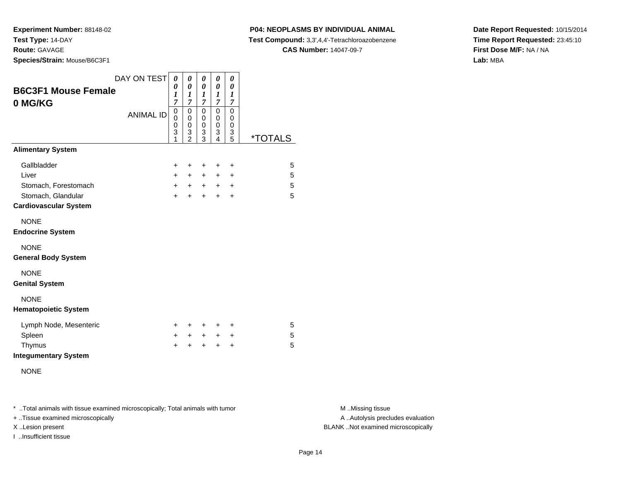**Experiment Number:** 88148-02**Test Type:** 14-DAY**Route:** GAVAGE

**Species/Strain:** Mouse/B6C3F1

# **P04: NEOPLASMS BY INDIVIDUAL ANIMAL**

**Test Compound:** 3,3',4,4'-Tetrachloroazobenzene

**CAS Number:** 14047-09-7

**Date Report Requested:** 10/15/2014**Time Report Requested:** 23:45:10**First Dose M/F:** NA / NA**Lab:** MBA

| <b>B6C3F1 Mouse Female</b><br>0 MG/KG                              | DAY ON TEST      | 0<br>0<br>1<br>7       | 0<br>$\boldsymbol{\theta}$<br>1<br>7                             | 0<br>0<br>1<br>7                          | 0<br>0<br>1<br>7                           | 0<br>0<br>1<br>7                          |                       |
|--------------------------------------------------------------------|------------------|------------------------|------------------------------------------------------------------|-------------------------------------------|--------------------------------------------|-------------------------------------------|-----------------------|
|                                                                    | <b>ANIMAL ID</b> | 0<br>0<br>0<br>3<br>1  | $\mathbf 0$<br>$\mathbf 0$<br>$\mathbf 0$<br>3<br>$\overline{2}$ | $\mathbf 0$<br>$\mathbf 0$<br>0<br>3<br>3 | $\mathbf 0$<br>$\mathbf 0$<br>0<br>3<br>4  | $\mathbf 0$<br>0<br>$\mathbf 0$<br>3<br>5 | <i><b>*TOTALS</b></i> |
| <b>Alimentary System</b>                                           |                  |                        |                                                                  |                                           |                                            |                                           |                       |
| Gallbladder<br>Liver<br>Stomach, Forestomach<br>Stomach, Glandular |                  | +<br>$+$<br>$+$<br>$+$ | +<br>$\pm$<br>$+$<br>$\ddot{}$                                   | +<br>$\pm$<br>$+$<br>$\ddot{}$            | $\ddot{}$<br>$\ddot{}$<br>$+$<br>$\ddot{}$ | +<br>+<br>$\ddot{}$<br>$\ddot{}$          | 5<br>5<br>5<br>5      |
| <b>Cardiovascular System</b>                                       |                  |                        |                                                                  |                                           |                                            |                                           |                       |
| <b>NONE</b><br><b>Endocrine System</b>                             |                  |                        |                                                                  |                                           |                                            |                                           |                       |
| <b>NONE</b><br><b>General Body System</b>                          |                  |                        |                                                                  |                                           |                                            |                                           |                       |
| <b>NONE</b><br><b>Genital System</b>                               |                  |                        |                                                                  |                                           |                                            |                                           |                       |
| <b>NONE</b><br><b>Hematopoietic System</b>                         |                  |                        |                                                                  |                                           |                                            |                                           |                       |
| Lymph Node, Mesenteric                                             |                  | ÷                      | $\pm$                                                            | $\ddot{}$                                 | ÷                                          | ÷                                         | 5                     |
| Spleen                                                             |                  | $\ddot{}$              | $+$                                                              | $+$                                       | $+$                                        | $\ddot{}$                                 | 5                     |
| Thymus<br><b>Integumentary System</b>                              |                  | $\ddot{}$              | $\ddot{}$                                                        | $\ddot{}$                                 | $\ddot{}$                                  | $\ddot{}$                                 | 5                     |
| <b>NONE</b>                                                        |                  |                        |                                                                  |                                           |                                            |                                           |                       |

\* ..Total animals with tissue examined microscopically; Total animals with tumor **M** . Missing tissue M ..Missing tissue

+ ..Tissue examined microscopically

I ..Insufficient tissue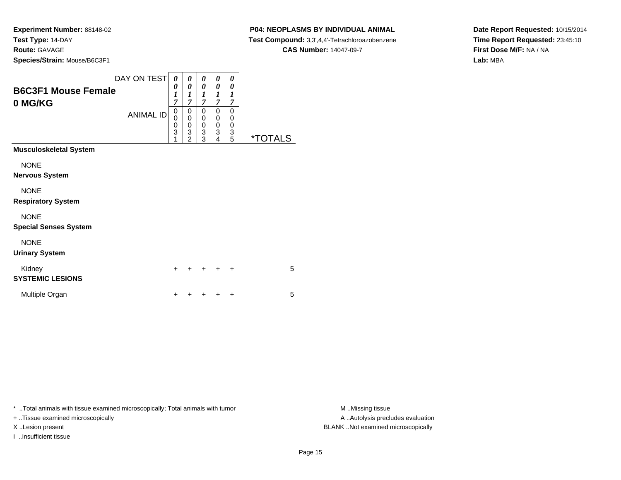# **P04: NEOPLASMS BY INDIVIDUAL ANIMAL**

 **Test Compound:** 3,3',4,4'-Tetrachloroazobenzene**CAS Number:** 14047-09-7

**Date Report Requested:** 10/15/2014**Time Report Requested:** 23:45:10**First Dose M/F:** NA / NA**Lab:** MBA

| <b>B6C3F1 Mouse Female</b><br>0 MG/KG<br><b>Musculoskeletal System</b><br><b>NONE</b><br>Nervous System<br><b>NONE</b><br><b>Respiratory System</b><br><b>NONE</b><br><b>Special Senses System</b><br><b>NONE</b><br><b>Urinary System</b> | DAY ON TEST<br><b>ANIMAL ID</b> | 0<br>0<br>$\boldsymbol{l}$<br>7<br>0<br>0<br>0<br>$\overline{3}$<br>1 | 0<br>$\boldsymbol{\theta}$<br>$\boldsymbol{l}$<br>$\overline{7}$<br>$\mathbf 0$<br>$\bar{0}$<br>$\begin{array}{c} 0 \\ 3 \\ 2 \end{array}$ | 0<br>0<br>1<br>7<br>0<br>0<br>$\begin{smallmatrix} 0\\ 3 \end{smallmatrix}$<br>$\overline{3}$ | 0<br>0<br>1<br>7<br>0<br>0<br>$\pmb{0}$<br>$\overline{3}$<br>4 | 0<br>0<br>$\boldsymbol{l}$<br>7<br>$\mathbf 0$<br>0<br>$\pmb{0}$<br>3<br>5 | <i><b>*TOTALS</b></i> |
|--------------------------------------------------------------------------------------------------------------------------------------------------------------------------------------------------------------------------------------------|---------------------------------|-----------------------------------------------------------------------|--------------------------------------------------------------------------------------------------------------------------------------------|-----------------------------------------------------------------------------------------------|----------------------------------------------------------------|----------------------------------------------------------------------------|-----------------------|
| Kidney<br><b>SYSTEMIC LESIONS</b>                                                                                                                                                                                                          |                                 | $\ddot{}$                                                             | +                                                                                                                                          |                                                                                               | +                                                              | ÷                                                                          | 5                     |
| Multiple Organ                                                                                                                                                                                                                             |                                 | $\ddot{}$                                                             | ٠                                                                                                                                          |                                                                                               |                                                                | ٠                                                                          | 5                     |
|                                                                                                                                                                                                                                            |                                 |                                                                       |                                                                                                                                            |                                                                                               |                                                                |                                                                            |                       |

\* ..Total animals with tissue examined microscopically; Total animals with tumor **M** . Missing tissue M ..Missing tissue

+ ..Tissue examined microscopically

I ..Insufficient tissue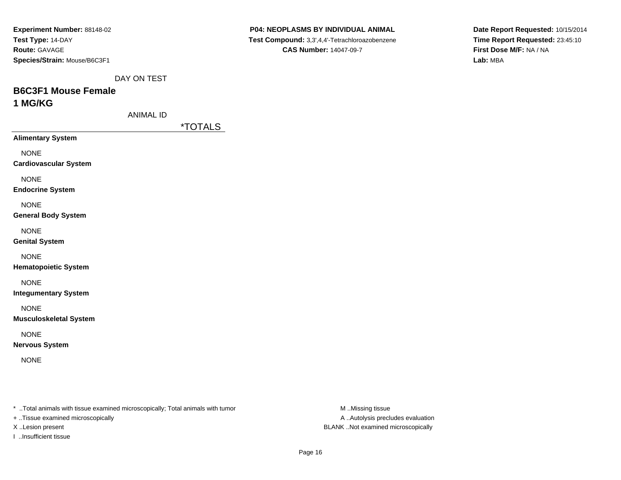| Experiment Number: 88148-02  |
|------------------------------|
| Test Type: 14-DAY            |
| <b>Route: GAVAGE</b>         |
| Species/Strain: Mouse/B6C3F1 |

**Date Report Requested:** 10/15/2014**Time Report Requested:** 23:45:10**First Dose M/F:** NA / NA**Lab:** MBA

DAY ON TEST

### **B6C3F1 Mouse Female1 MG/KG**

ANIMAL ID

\*TOTALS

**Alimentary System**

NONE

**Cardiovascular System**

NONE

**Endocrine System**

NONE

**General Body System**

NONE

**Genital System**

NONE

**Hematopoietic System**

NONE

**Integumentary System**

NONE

**Musculoskeletal System**

NONE

**Nervous System**

NONE

\* ..Total animals with tissue examined microscopically; Total animals with tumor **M** ..Missing tissue M ..Missing tissue

+ ..Tissue examined microscopically

I ..Insufficient tissue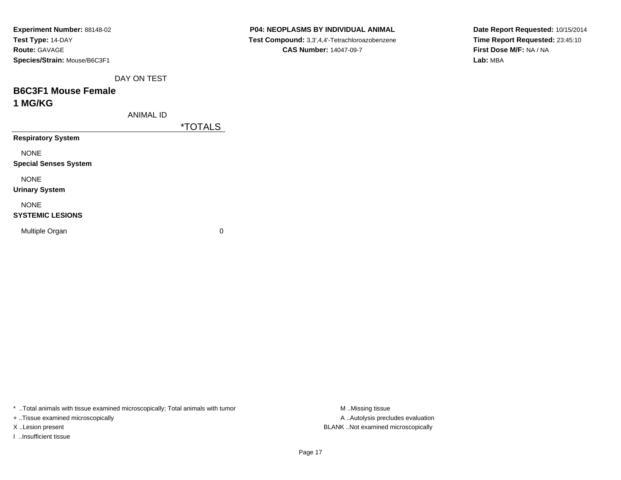| Experiment Number: 88148-02  |
|------------------------------|
| <b>Test Type: 14-DAY</b>     |
| <b>Route: GAVAGE</b>         |
| Species/Strain: Mouse/B6C3F1 |

**Date Report Requested:** 10/15/2014**Time Report Requested:** 23:45:10**First Dose M/F:** NA / NA**Lab:** MBA

DAY ON TEST

## **B6C3F1 Mouse Female1 MG/KG**

ANIMAL ID

\*TOTALS

**Respiratory System**

NONE

**Special Senses System**

NONE

**Urinary System**

NONE

#### **SYSTEMIC LESIONS**

Multiple Organ

 $\mathbf n$  0

\* ..Total animals with tissue examined microscopically; Total animals with tumor **M** ...Missing tissue M ...Missing tissue

+ ..Tissue examined microscopically

I ..Insufficient tissue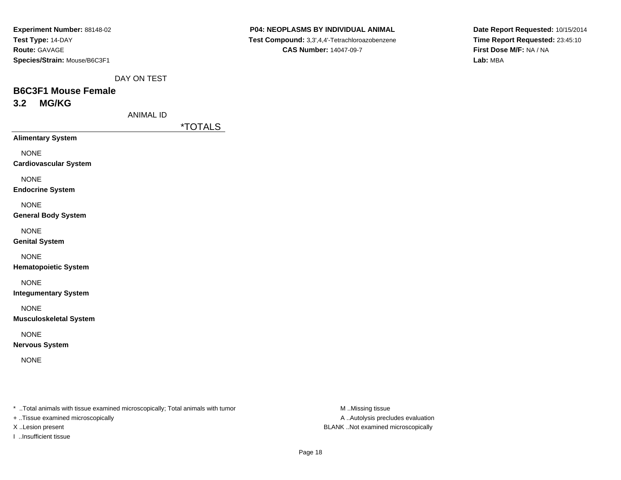| <b>Experiment Number: 88148-02</b> |  |  |  |  |  |  |
|------------------------------------|--|--|--|--|--|--|
| Test Type: 14-DAY                  |  |  |  |  |  |  |
| <b>Route: GAVAGE</b>               |  |  |  |  |  |  |
| Species/Strain: Mouse/B6C3F1       |  |  |  |  |  |  |

**Date Report Requested:** 10/15/2014**Time Report Requested:** 23:45:10**First Dose M/F:** NA / NA**Lab:** MBA

DAY ON TEST

# **B6C3F1 Mouse Female3.2 MG/KG**

ANIMAL ID

\*TOTALS

**Alimentary System**

NONE

**Cardiovascular System**

NONE

**Endocrine System**

NONE

**General Body System**

NONE

**Genital System**

NONE

**Hematopoietic System**

NONE

**Integumentary System**

NONE

**Musculoskeletal System**

NONE

**Nervous System**

NONE

\* ..Total animals with tissue examined microscopically; Total animals with tumor **M** ..Missing tissue M ..Missing tissue

+ ..Tissue examined microscopically

I ..Insufficient tissue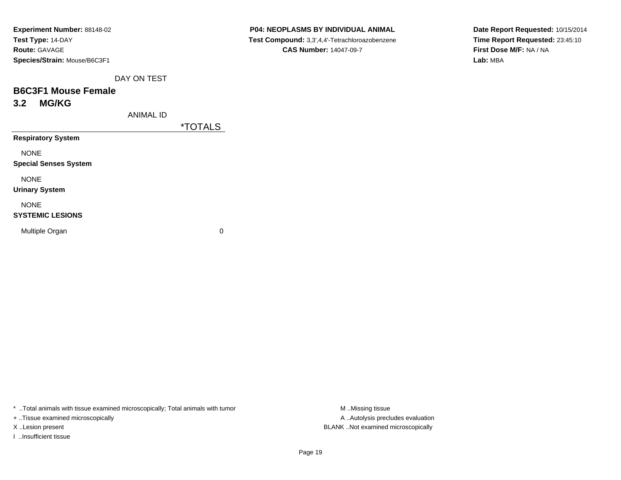| Experiment Number: 88148-02  |
|------------------------------|
| Test Type: 14-DAY            |
| <b>Route: GAVAGE</b>         |
| Species/Strain: Mouse/B6C3F1 |

**Date Report Requested:** 10/15/2014**Time Report Requested:** 23:45:10**First Dose M/F:** NA / NA**Lab:** MBA

DAY ON TEST

# **B6C3F1 Mouse Female3.2 MG/KG**

ANIMAL ID

\*TOTALS

**Respiratory System**

NONE

**Special Senses System**

NONE

**Urinary System**

NONE

#### **SYSTEMIC LESIONS**

Multiple Organ

 $\mathbf n$  0

\* ..Total animals with tissue examined microscopically; Total animals with tumor **M** ...Missing tissue M ...Missing tissue

+ ..Tissue examined microscopically

I ..Insufficient tissue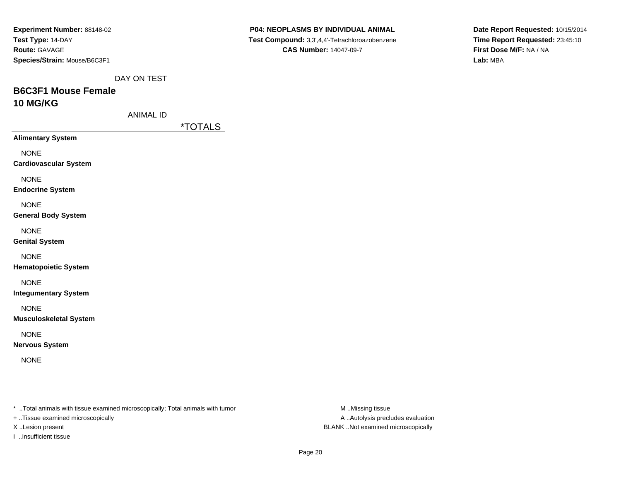| Experiment Number: 88148-02  |
|------------------------------|
| <b>Test Type: 14-DAY</b>     |
| <b>Route: GAVAGE</b>         |
| Species/Strain: Mouse/B6C3F1 |

**Date Report Requested:** 10/15/2014**Time Report Requested:** 23:45:10**First Dose M/F:** NA / NA**Lab:** MBA

DAY ON TEST

# **B6C3F1 Mouse Female10 MG/KG**

ANIMAL ID

\*TOTALS

**Alimentary System**

NONE

**Cardiovascular System**

NONE

**Endocrine System**

NONE

**General Body System**

NONE

**Genital System**

NONE

**Hematopoietic System**

NONE

**Integumentary System**

NONE

**Musculoskeletal System**

NONE

**Nervous System**

NONE

\* ..Total animals with tissue examined microscopically; Total animals with tumor **M** ..Missing tissue M ..Missing tissue

+ ..Tissue examined microscopically

I ..Insufficient tissue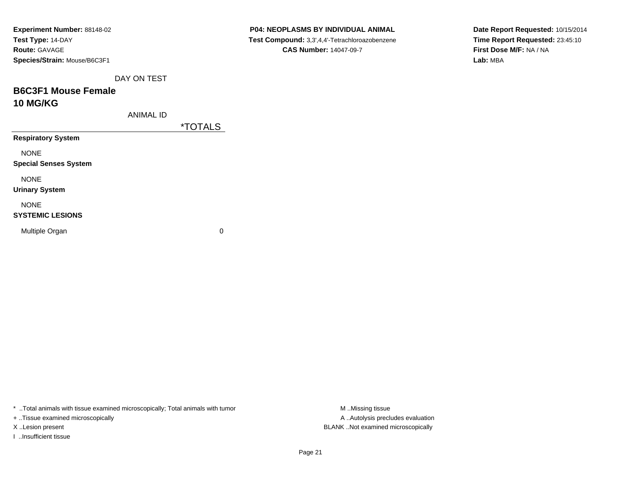| Experiment Number: 88148-02  |
|------------------------------|
| Test Type: 14-DAY            |
| <b>Route: GAVAGE</b>         |
| Species/Strain: Mouse/B6C3F1 |

**Date Report Requested:** 10/15/2014**Time Report Requested:** 23:45:10**First Dose M/F:** NA / NA**Lab:** MBA

DAY ON TEST

# **B6C3F1 Mouse Female10 MG/KG**

ANIMAL ID

\*TOTALS

**Respiratory System**

NONE

**Special Senses System**

NONE

**Urinary System**

NONE

#### **SYSTEMIC LESIONS**

Multiple Organ

 $\mathbf n$  0

\* ..Total animals with tissue examined microscopically; Total animals with tumor

+ ..Tissue examined microscopically

I ..Insufficient tissue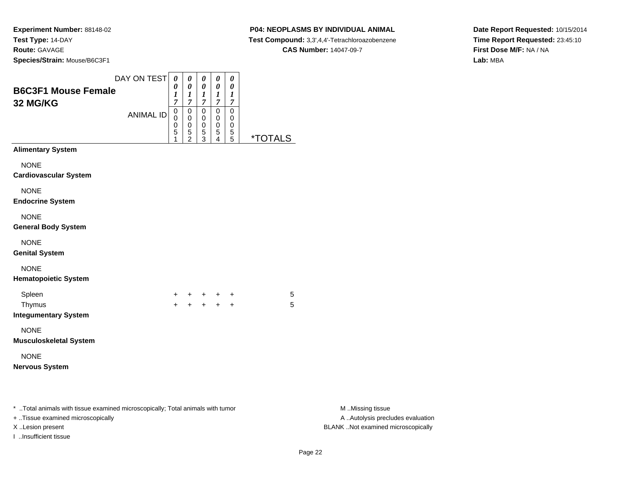# **P04: NEOPLASMS BY INDIVIDUAL ANIMAL**

 **Test Compound:** 3,3',4,4'-Tetrachloroazobenzene**CAS Number:** 14047-09-7

**Date Report Requested:** 10/15/2014**Time Report Requested:** 23:45:10**First Dose M/F:** NA / NA**Lab:** MBA

| <b>B6C3F1 Mouse Female</b><br>32 MG/KG                                                                                                  | DAY ON TEST<br><b>ANIMAL ID</b> | $\boldsymbol{\theta}$<br>0<br>1<br>$\overline{7}$<br>$\,0\,$<br>$\mathbf 0$<br>0<br>5<br>1 | $\pmb{\theta}$<br>$\pmb{\theta}$<br>$\boldsymbol{l}$<br>$\overline{7}$<br>$\,0\,$<br>0<br>$\mathbf 0$<br>$\mathbf 5$<br>$\overline{c}$ | $\pmb{\theta}$<br>$\pmb{\theta}$<br>$\frac{1}{7}$<br>$\,0\,$<br>0<br>$\,0\,$<br>$\mathbf 5$<br>$\overline{3}$ | $\pmb{\theta}$<br>$\pmb{\theta}$<br>$\boldsymbol{l}$<br>$\overline{7}$<br>$\pmb{0}$<br>0<br>0<br>$\mathbf 5$<br>4 | $\pmb{\theta}$<br>$\pmb{\theta}$<br>$\boldsymbol{l}$<br>$\boldsymbol{7}$<br>$\pmb{0}$<br>0<br>0<br>5<br>$\overline{5}$ | <u><i><b>*TOTALS</b></i></u> |                                                                                             |
|-----------------------------------------------------------------------------------------------------------------------------------------|---------------------------------|--------------------------------------------------------------------------------------------|----------------------------------------------------------------------------------------------------------------------------------------|---------------------------------------------------------------------------------------------------------------|-------------------------------------------------------------------------------------------------------------------|------------------------------------------------------------------------------------------------------------------------|------------------------------|---------------------------------------------------------------------------------------------|
| <b>Alimentary System</b>                                                                                                                |                                 |                                                                                            |                                                                                                                                        |                                                                                                               |                                                                                                                   |                                                                                                                        |                              |                                                                                             |
| <b>NONE</b><br><b>Cardiovascular System</b><br><b>NONE</b><br><b>Endocrine System</b>                                                   |                                 |                                                                                            |                                                                                                                                        |                                                                                                               |                                                                                                                   |                                                                                                                        |                              |                                                                                             |
| <b>NONE</b><br><b>General Body System</b>                                                                                               |                                 |                                                                                            |                                                                                                                                        |                                                                                                               |                                                                                                                   |                                                                                                                        |                              |                                                                                             |
| <b>NONE</b><br><b>Genital System</b>                                                                                                    |                                 |                                                                                            |                                                                                                                                        |                                                                                                               |                                                                                                                   |                                                                                                                        |                              |                                                                                             |
| <b>NONE</b><br><b>Hematopoietic System</b>                                                                                              |                                 |                                                                                            |                                                                                                                                        |                                                                                                               |                                                                                                                   |                                                                                                                        |                              |                                                                                             |
| Spleen<br>Thymus<br><b>Integumentary System</b>                                                                                         |                                 | $\pm$                                                                                      | $+$                                                                                                                                    |                                                                                                               | + + +<br>$+$ $+$                                                                                                  | $\ddot{}$<br>$\ddot{}$                                                                                                 | 5<br>5                       |                                                                                             |
| <b>NONE</b><br><b>Musculoskeletal System</b>                                                                                            |                                 |                                                                                            |                                                                                                                                        |                                                                                                               |                                                                                                                   |                                                                                                                        |                              |                                                                                             |
| <b>NONE</b><br><b>Nervous System</b>                                                                                                    |                                 |                                                                                            |                                                                                                                                        |                                                                                                               |                                                                                                                   |                                                                                                                        |                              |                                                                                             |
| * Total animals with tissue examined microscopically; Total animals with tumor<br>+ Tissue examined microscopically<br>X Lesion present |                                 |                                                                                            |                                                                                                                                        |                                                                                                               |                                                                                                                   |                                                                                                                        |                              | M Missing tissue<br>A  Autolysis precludes evaluation<br>BLANK Not examined microscopically |

I ..Insufficient tissue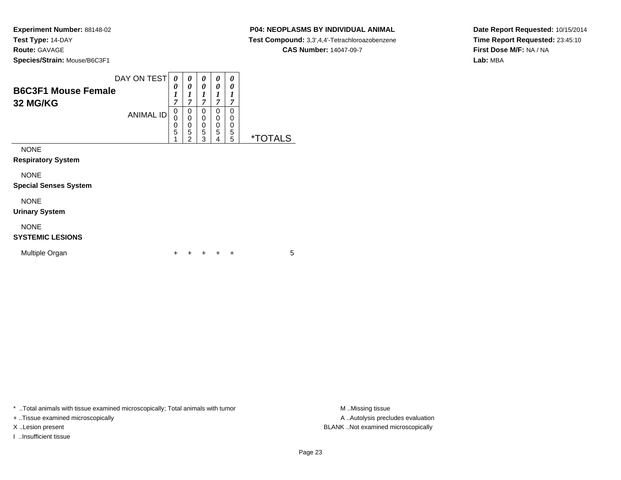# **P04: NEOPLASMS BY INDIVIDUAL ANIMAL**

 **Test Compound:** 3,3',4,4'-Tetrachloroazobenzene**CAS Number:** 14047-09-7

**Date Report Requested:** 10/15/2014**Time Report Requested:** 23:45:10**First Dose M/F:** NA / NA**Lab:** MBA

| <b>B6C3F1 Mouse Female</b><br>32 MG/KG | DAY ON TEST      | 0<br>0<br>1<br>7                                     | 0<br>0<br>1<br>$\overline{7}$                                               | 0<br>0<br>1<br>7      | 0<br>0<br>1<br>$\overline{7}$ | 0<br>0<br>1<br>7                |                       |
|----------------------------------------|------------------|------------------------------------------------------|-----------------------------------------------------------------------------|-----------------------|-------------------------------|---------------------------------|-----------------------|
|                                        | <b>ANIMAL ID</b> | 0<br>0<br>$\begin{array}{c} 0 \\ 5 \end{array}$<br>1 | 0<br>$\mathbf 0$<br>$\begin{array}{c} 0 \\ 5 \end{array}$<br>$\overline{2}$ | 0<br>0<br>0<br>5<br>3 | 0<br>0<br>0<br>5<br>4         | $\mathbf 0$<br>0<br>0<br>5<br>5 | <i><b>*TOTALS</b></i> |
| <b>NONE</b>                            |                  |                                                      |                                                                             |                       |                               |                                 |                       |
| <b>Respiratory System</b>              |                  |                                                      |                                                                             |                       |                               |                                 |                       |
| <b>NONE</b>                            |                  |                                                      |                                                                             |                       |                               |                                 |                       |
| <b>Special Senses System</b>           |                  |                                                      |                                                                             |                       |                               |                                 |                       |
| <b>NONE</b>                            |                  |                                                      |                                                                             |                       |                               |                                 |                       |
| <b>Urinary System</b>                  |                  |                                                      |                                                                             |                       |                               |                                 |                       |
| <b>NONE</b><br><b>SYSTEMIC LESIONS</b> |                  |                                                      |                                                                             |                       |                               |                                 |                       |

<sup>+</sup> <sup>+</sup> <sup>+</sup> <sup>+</sup> <sup>5</sup>

\* ..Total animals with tissue examined microscopically; Total animals with tumor **M** . Missing tissue M ..Missing tissue

n  $+$ 

+ ..Tissue examined microscopically

I ..Insufficient tissue

Multiple Organ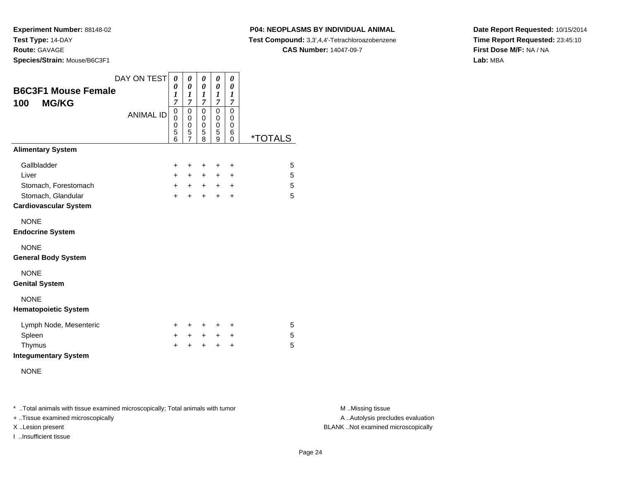**P04: NEOPLASMS BY INDIVIDUAL ANIMAL**

**Test Compound:** 3,3',4,4'-Tetrachloroazobenzene

**CAS Number:** 14047-09-7

**Date Report Requested:** 10/15/2014**Time Report Requested:** 23:45:10**First Dose M/F:** NA / NA**Lab:** MBA

| <b>B6C3F1 Mouse Female</b><br><b>MG/KG</b><br>100                                                  | DAY ON TEST<br><b>ANIMAL ID</b> | 0<br>0<br>1<br>7<br>$\mathbf 0$<br>$\mathbf 0$<br>0<br>5<br>6 | 0<br>0<br>1<br>$\overline{7}$<br>0<br>$\mathbf 0$<br>0<br>5<br>$\overline{7}$ | 0<br>0<br>1<br>7<br>0<br>$\mathbf 0$<br>0<br>5<br>8 | 0<br>$\boldsymbol{\theta}$<br>$\boldsymbol{l}$<br>$\overline{7}$<br>$\mathbf 0$<br>0<br>$\mathbf 0$<br>5<br>9 | 0<br>0<br>1<br>$\overline{7}$<br>0<br>$\mathbf 0$<br>$\mathbf 0$<br>6<br>$\overline{0}$ | <i><b>*TOTALS</b></i> |
|----------------------------------------------------------------------------------------------------|---------------------------------|---------------------------------------------------------------|-------------------------------------------------------------------------------|-----------------------------------------------------|---------------------------------------------------------------------------------------------------------------|-----------------------------------------------------------------------------------------|-----------------------|
| <b>Alimentary System</b>                                                                           |                                 |                                                               |                                                                               |                                                     |                                                                                                               |                                                                                         |                       |
| Gallbladder<br>Liver<br>Stomach, Forestomach<br>Stomach, Glandular<br><b>Cardiovascular System</b> |                                 | +<br>$\ddot{}$<br>$+$<br>$\ddot{}$                            | +<br>$\ddot{}$<br>$+$<br>÷                                                    | +<br>+<br>$+$<br>$\ddot{}$                          | $\ddot{}$<br>$\ddot{}$<br>$+$<br>$\ddot{}$                                                                    | +<br>$\ddot{}$<br>$\ddot{}$<br>+                                                        | 5<br>5<br>5<br>5      |
| <b>NONE</b><br><b>Endocrine System</b>                                                             |                                 |                                                               |                                                                               |                                                     |                                                                                                               |                                                                                         |                       |
| <b>NONE</b><br><b>General Body System</b>                                                          |                                 |                                                               |                                                                               |                                                     |                                                                                                               |                                                                                         |                       |
| <b>NONE</b><br><b>Genital System</b>                                                               |                                 |                                                               |                                                                               |                                                     |                                                                                                               |                                                                                         |                       |
| <b>NONE</b><br><b>Hematopoietic System</b>                                                         |                                 |                                                               |                                                                               |                                                     |                                                                                                               |                                                                                         |                       |
| Lymph Node, Mesenteric<br>Spleen<br>Thymus<br><b>Integumentary System</b>                          |                                 | $\pm$<br>$+$<br>$\ddot{}$                                     | ÷<br>$+$<br>$\ddot{}$                                                         | ٠<br>$+$<br>$\ddot{}$                               | ÷<br>$+$<br>$\ddot{}$                                                                                         | ٠<br>+<br>+                                                                             | 5<br>5<br>5           |
| <b>NONE</b>                                                                                        |                                 |                                                               |                                                                               |                                                     |                                                                                                               |                                                                                         |                       |

\* ..Total animals with tissue examined microscopically; Total animals with tumor **M** . Missing tissue M ..Missing tissue

+ ..Tissue examined microscopically

I ..Insufficient tissue